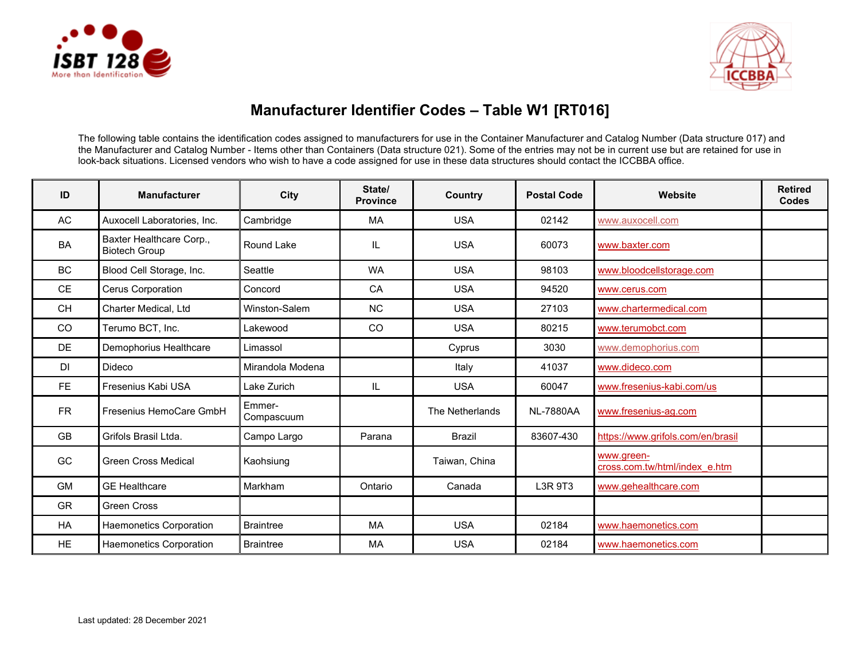



## **Manufacturer Identifier Codes – Table W1 [RT016]**

The following table contains the identification codes assigned to manufacturers for use in the Container Manufacturer and Catalog Number (Data structure 017) and the Manufacturer and Catalog Number - Items other than Containers (Data structure 021). Some of the entries may not be in current use but are retained for use in look-back situations. Licensed vendors who wish to have a code assigned for use in these data structures should contact the ICCBBA office.

| ID        | <b>Manufacturer</b>                              | City                 | State/<br><b>Province</b> | Country         | <b>Postal Code</b> | Website                                     | <b>Retired</b><br><b>Codes</b> |
|-----------|--------------------------------------------------|----------------------|---------------------------|-----------------|--------------------|---------------------------------------------|--------------------------------|
| AC        | Auxocell Laboratories, Inc.                      | Cambridge            | <b>MA</b>                 | <b>USA</b>      | 02142              | www.auxocell.com                            |                                |
| <b>BA</b> | Baxter Healthcare Corp.,<br><b>Biotech Group</b> | Round Lake           | IL.                       | <b>USA</b>      | 60073              | www.baxter.com                              |                                |
| <b>BC</b> | Blood Cell Storage, Inc.                         | Seattle              | <b>WA</b>                 | <b>USA</b>      | 98103              | www.bloodcellstorage.com                    |                                |
| <b>CE</b> | Cerus Corporation                                | Concord              | CA                        | <b>USA</b>      | 94520              | www.cerus.com                               |                                |
| <b>CH</b> | Charter Medical, Ltd                             | Winston-Salem        | <b>NC</b>                 | <b>USA</b>      | 27103              | www.chartermedical.com                      |                                |
| CO        | Terumo BCT, Inc.                                 | Lakewood             | <sub>CO</sub>             | <b>USA</b>      | 80215              | www.terumobct.com                           |                                |
| <b>DE</b> | Demophorius Healthcare                           | Limassol             |                           | Cyprus          | 3030               | www.demophorius.com                         |                                |
| DI        | Dideco                                           | Mirandola Modena     |                           | Italy           | 41037              | www.dideco.com                              |                                |
| FE.       | Fresenius Kabi USA                               | Lake Zurich          | IL.                       | <b>USA</b>      | 60047              | www.fresenius-kabi.com/us                   |                                |
| <b>FR</b> | Fresenius HemoCare GmbH                          | Emmer-<br>Compascuum |                           | The Netherlands | <b>NL-7880AA</b>   | www.fresenius-ag.com                        |                                |
| <b>GB</b> | Grifols Brasil Ltda.                             | Campo Largo          | Parana                    | Brazil          | 83607-430          | https://www.grifols.com/en/brasil           |                                |
| GC        | <b>Green Cross Medical</b>                       | Kaohsiung            |                           | Taiwan, China   |                    | www.green-<br>cross.com.tw/html/index_e.htm |                                |
| <b>GM</b> | <b>GE Healthcare</b>                             | Markham              | Ontario                   | Canada          | L3R 9T3            | www.gehealthcare.com                        |                                |
| <b>GR</b> | <b>Green Cross</b>                               |                      |                           |                 |                    |                                             |                                |
| HA        | Haemonetics Corporation                          | <b>Braintree</b>     | MA                        | <b>USA</b>      | 02184              | www.haemonetics.com                         |                                |
| <b>HE</b> | <b>Haemonetics Corporation</b>                   | <b>Braintree</b>     | MA                        | <b>USA</b>      | 02184              | www.haemonetics.com                         |                                |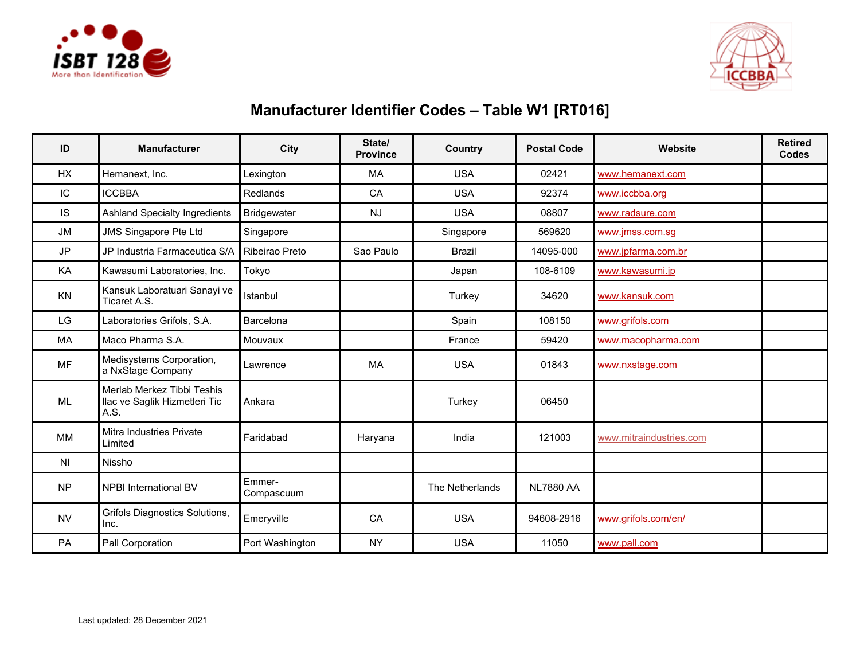



## **Manufacturer Identifier Codes – Table W1 [RT016]**

| ID             | <b>Manufacturer</b>                                                 | City                 | State/<br><b>Province</b> | <b>Country</b>  | <b>Postal Code</b> | Website                 | <b>Retired</b><br><b>Codes</b> |
|----------------|---------------------------------------------------------------------|----------------------|---------------------------|-----------------|--------------------|-------------------------|--------------------------------|
| HX             | Hemanext. Inc.                                                      | Lexington            | MA                        | <b>USA</b>      | 02421              | www.hemanext.com        |                                |
| IC             | <b>ICCBBA</b>                                                       | <b>Redlands</b>      | CA                        | <b>USA</b>      | 92374              | www.iccbba.org          |                                |
| IS             | <b>Ashland Specialty Ingredients</b>                                | <b>Bridgewater</b>   | <b>NJ</b>                 | <b>USA</b>      | 08807              | www.radsure.com         |                                |
| <b>JM</b>      | <b>JMS Singapore Pte Ltd</b>                                        | Singapore            |                           | Singapore       | 569620             | www.jmss.com.sg         |                                |
| <b>JP</b>      | JP Industria Farmaceutica S/A                                       | Ribeirao Preto       | Sao Paulo                 | <b>Brazil</b>   | 14095-000          | www.jpfarma.com.br      |                                |
| KA             | Kawasumi Laboratories, Inc.                                         | Tokyo                |                           | Japan           | 108-6109           | www.kawasumi.jp         |                                |
| KN             | Kansuk Laboratuari Sanayi ve<br>Ticaret A.S.                        | <b>Istanbul</b>      |                           | Turkey          | 34620              | www.kansuk.com          |                                |
| LG             | Laboratories Grifols, S.A.                                          | Barcelona            |                           | Spain           | 108150             | www.grifols.com         |                                |
| MA             | Maco Pharma S.A.                                                    | Mouvaux              |                           | France          | 59420              | www.macopharma.com      |                                |
| <b>MF</b>      | Medisystems Corporation,<br>a NxStage Company                       | Lawrence             | <b>MA</b>                 | <b>USA</b>      | 01843              | www.nxstage.com         |                                |
| ML             | Merlab Merkez Tibbi Teshis<br>llac ve Saglik Hizmetleri Tic<br>A.S. | Ankara               |                           | Turkey          | 06450              |                         |                                |
| <b>MM</b>      | Mitra Industries Private<br>Limited                                 | Faridabad            | Haryana                   | India           | 121003             | www.mitraindustries.com |                                |
| N <sub>1</sub> | Nissho                                                              |                      |                           |                 |                    |                         |                                |
| <b>NP</b>      | <b>NPBI International BV</b>                                        | Emmer-<br>Compascuum |                           | The Netherlands | <b>NL7880 AA</b>   |                         |                                |
| <b>NV</b>      | Grifols Diagnostics Solutions,<br>Inc.                              | Emeryville           | CA                        | <b>USA</b>      | 94608-2916         | www.grifols.com/en/     |                                |
| PA             | Pall Corporation                                                    | Port Washington      | <b>NY</b>                 | <b>USA</b>      | 11050              | www.pall.com            |                                |